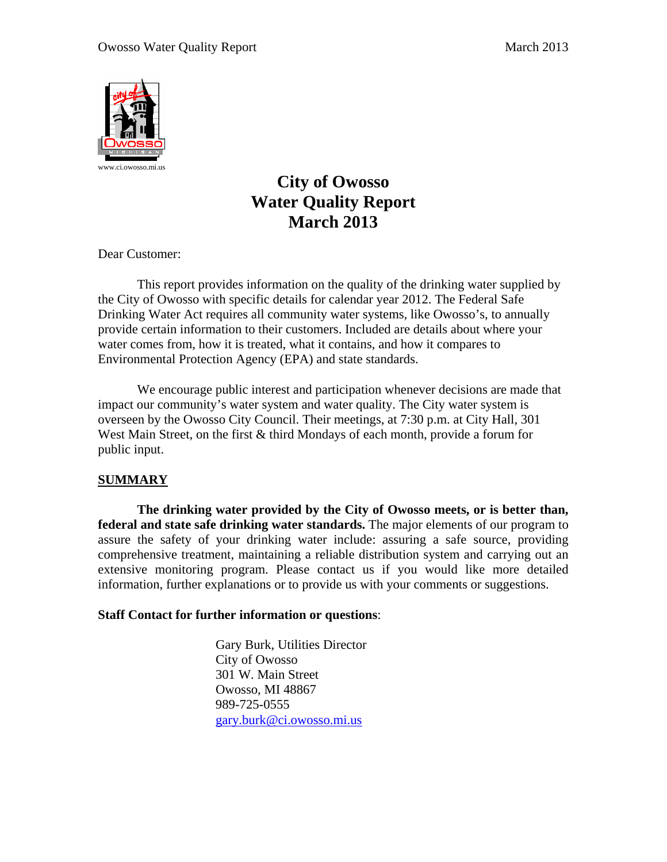

# **City of Owosso Water Quality Report March 2013**

Dear Customer:

 This report provides information on the quality of the drinking water supplied by the City of Owosso with specific details for calendar year 2012. The Federal Safe Drinking Water Act requires all community water systems, like Owosso's, to annually provide certain information to their customers. Included are details about where your water comes from, how it is treated, what it contains, and how it compares to Environmental Protection Agency (EPA) and state standards.

 We encourage public interest and participation whenever decisions are made that impact our community's water system and water quality. The City water system is overseen by the Owosso City Council. Their meetings, at 7:30 p.m. at City Hall, 301 West Main Street, on the first & third Mondays of each month, provide a forum for public input.

## **SUMMARY**

**The drinking water provided by the City of Owosso meets, or is better than, federal and state safe drinking water standards.** The major elements of our program to assure the safety of your drinking water include: assuring a safe source, providing comprehensive treatment, maintaining a reliable distribution system and carrying out an extensive monitoring program. Please contact us if you would like more detailed information, further explanations or to provide us with your comments or suggestions.

## **Staff Contact for further information or questions**:

 Gary Burk, Utilities Director City of Owosso 301 W. Main Street Owosso, MI 48867 989-725-0555 gary.burk@ci.owosso.mi.us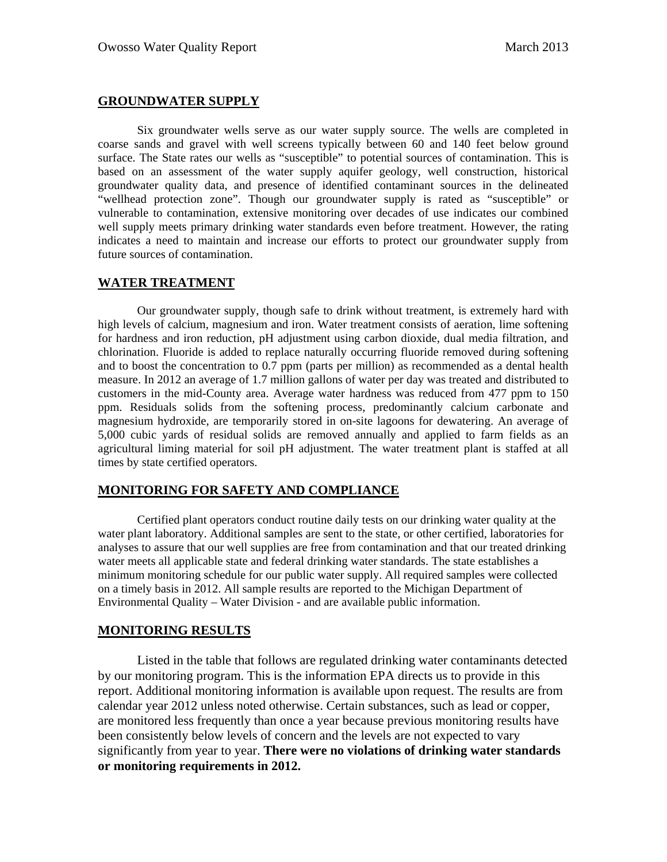### **GROUNDWATER SUPPLY**

Six groundwater wells serve as our water supply source. The wells are completed in coarse sands and gravel with well screens typically between 60 and 140 feet below ground surface. The State rates our wells as "susceptible" to potential sources of contamination. This is based on an assessment of the water supply aquifer geology, well construction, historical groundwater quality data, and presence of identified contaminant sources in the delineated "wellhead protection zone". Though our groundwater supply is rated as "susceptible" or vulnerable to contamination, extensive monitoring over decades of use indicates our combined well supply meets primary drinking water standards even before treatment. However, the rating indicates a need to maintain and increase our efforts to protect our groundwater supply from future sources of contamination.

### **WATER TREATMENT**

Our groundwater supply, though safe to drink without treatment, is extremely hard with high levels of calcium, magnesium and iron. Water treatment consists of aeration, lime softening for hardness and iron reduction, pH adjustment using carbon dioxide, dual media filtration, and chlorination. Fluoride is added to replace naturally occurring fluoride removed during softening and to boost the concentration to 0.7 ppm (parts per million) as recommended as a dental health measure. In 2012 an average of 1.7 million gallons of water per day was treated and distributed to customers in the mid-County area. Average water hardness was reduced from 477 ppm to 150 ppm. Residuals solids from the softening process, predominantly calcium carbonate and magnesium hydroxide, are temporarily stored in on-site lagoons for dewatering. An average of 5,000 cubic yards of residual solids are removed annually and applied to farm fields as an agricultural liming material for soil pH adjustment. The water treatment plant is staffed at all times by state certified operators.

## **MONITORING FOR SAFETY AND COMPLIANCE**

Certified plant operators conduct routine daily tests on our drinking water quality at the water plant laboratory. Additional samples are sent to the state, or other certified, laboratories for analyses to assure that our well supplies are free from contamination and that our treated drinking water meets all applicable state and federal drinking water standards. The state establishes a minimum monitoring schedule for our public water supply. All required samples were collected on a timely basis in 2012. All sample results are reported to the Michigan Department of Environmental Quality – Water Division - and are available public information.

### **MONITORING RESULTS**

 Listed in the table that follows are regulated drinking water contaminants detected by our monitoring program. This is the information EPA directs us to provide in this report. Additional monitoring information is available upon request. The results are from calendar year 2012 unless noted otherwise. Certain substances, such as lead or copper, are monitored less frequently than once a year because previous monitoring results have been consistently below levels of concern and the levels are not expected to vary significantly from year to year. **There were no violations of drinking water standards or monitoring requirements in 2012.**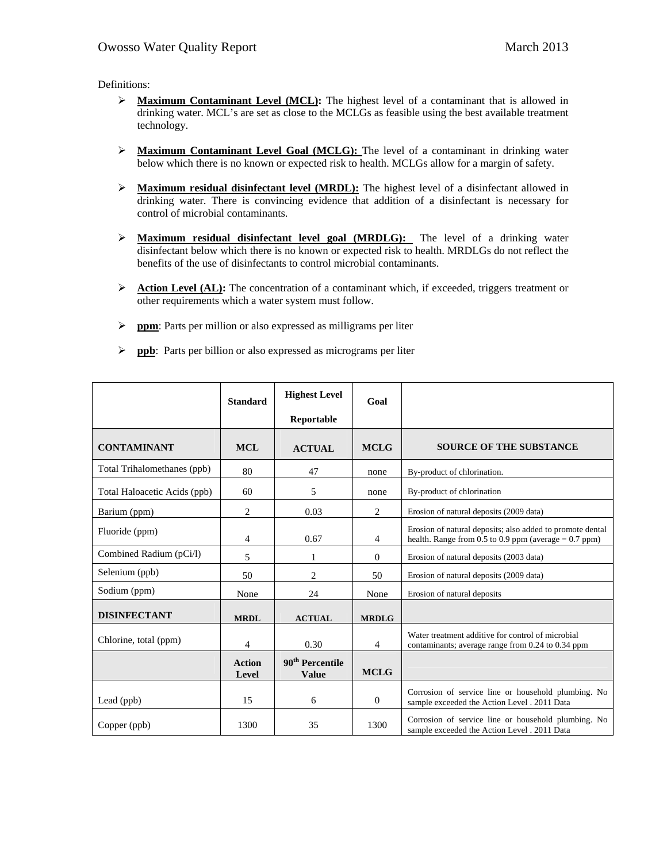Definitions:

- ¾ **Maximum Contaminant Level (MCL):** The highest level of a contaminant that is allowed in drinking water. MCL's are set as close to the MCLGs as feasible using the best available treatment technology.
- ¾ **Maximum Contaminant Level Goal (MCLG):** The level of a contaminant in drinking water below which there is no known or expected risk to health. MCLGs allow for a margin of safety.
- ¾ **Maximum residual disinfectant level (MRDL):** The highest level of a disinfectant allowed in drinking water. There is convincing evidence that addition of a disinfectant is necessary for control of microbial contaminants.
- ¾ **Maximum residual disinfectant level goal (MRDLG):** The level of a drinking water disinfectant below which there is no known or expected risk to health. MRDLGs do not reflect the benefits of the use of disinfectants to control microbial contaminants.
- **EXECUTE:** Action Level (AL): The concentration of a contaminant which, if exceeded, triggers treatment or other requirements which a water system must follow.
- ¾ **ppm**: Parts per million or also expressed as milligrams per liter
- ¾ **ppb**: Parts per billion or also expressed as micrograms per liter

|                              | <b>Standard</b>        | <b>Highest Level</b>                        | Goal         |                                                                                                                      |
|------------------------------|------------------------|---------------------------------------------|--------------|----------------------------------------------------------------------------------------------------------------------|
|                              |                        | Reportable                                  |              |                                                                                                                      |
| <b>CONTAMINANT</b>           | <b>MCL</b>             | <b>ACTUAL</b>                               | <b>MCLG</b>  | <b>SOURCE OF THE SUBSTANCE</b>                                                                                       |
| Total Trihalomethanes (ppb)  | 80                     | 47                                          | none         | By-product of chlorination.                                                                                          |
| Total Haloacetic Acids (ppb) | 60                     | 5                                           | none         | By-product of chlorination                                                                                           |
| Barium (ppm)                 | 2                      | 0.03                                        | 2            | Erosion of natural deposits (2009 data)                                                                              |
| Fluoride (ppm)               | 4                      | 0.67                                        | 4            | Erosion of natural deposits; also added to promote dental<br>health. Range from 0.5 to 0.9 ppm (average $= 0.7$ ppm) |
| Combined Radium (pCi/l)      | 5                      |                                             | $\Omega$     | Erosion of natural deposits (2003 data)                                                                              |
| Selenium (ppb)               | 50                     | $\overline{2}$                              | 50           | Erosion of natural deposits (2009 data)                                                                              |
| Sodium (ppm)                 | None                   | 24                                          | None         | Erosion of natural deposits                                                                                          |
| <b>DISINFECTANT</b>          | <b>MRDL</b>            | <b>ACTUAL</b>                               | <b>MRDLG</b> |                                                                                                                      |
| Chlorine, total (ppm)        | 4                      | 0.30                                        | 4            | Water treatment additive for control of microbial<br>contaminants; average range from 0.24 to 0.34 ppm               |
|                              | <b>Action</b><br>Level | 90 <sup>th</sup> Percentile<br><b>Value</b> | <b>MCLG</b>  |                                                                                                                      |
| Lead (ppb)                   | 15                     | 6                                           | $\theta$     | Corrosion of service line or household plumbing. No<br>sample exceeded the Action Level . 2011 Data                  |
| Copper (ppb)                 | 1300                   | 35                                          | 1300         | Corrosion of service line or household plumbing. No<br>sample exceeded the Action Level . 2011 Data                  |